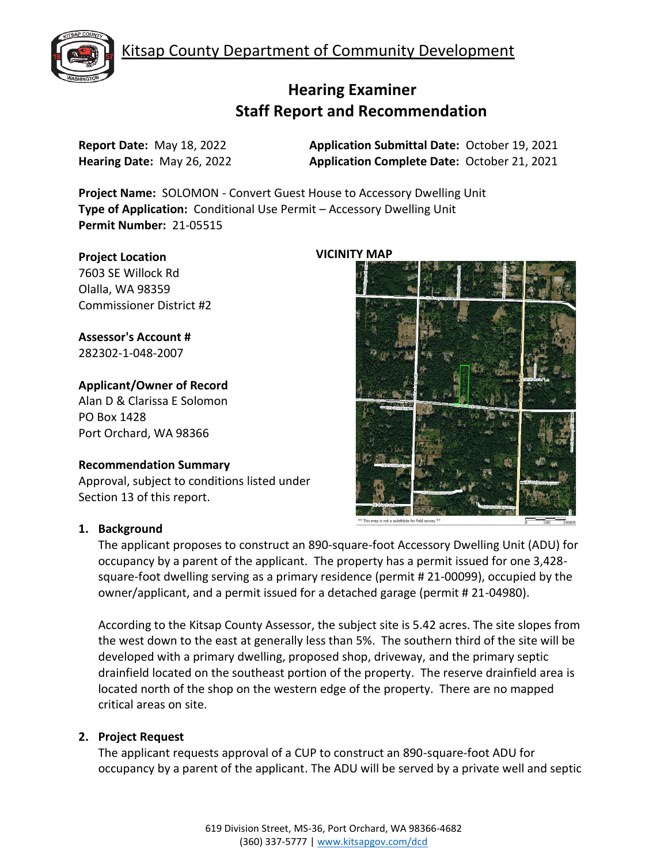Kitsap County Department of Community Development



# **Hearing Examiner Staff Report and Recommendation**

**Report Date:** May 18, 2022 **Application Submittal Date:** October 19, 2021 **Hearing Date:** May 26, 2022 **Application Complete Date:** October 21, 2021

**Project Name:** SOLOMON - Convert Guest House to Accessory Dwelling Unit **Type of Application:** Conditional Use Permit – Accessory Dwelling Unit **Permit Number:** 21-05515

#### **Project Location**

7603 SE Willock Rd Olalla, WA 98359 Commissioner District #2

**Assessor's Account #** 282302-1-048-2007

## **Applicant/Owner of Record**

Alan D & Clarissa E Solomon PO Box 1428 Port Orchard, WA 98366

## **Recommendation Summary**

Approval, subject to conditions listed under Section 13 of this report.

## **1. Background**

The applicant proposes to construct an 890-square-foot Accessory Dwelling Unit (ADU) for occupancy by a parent of the applicant. The property has a permit issued for one 3,428 square-foot dwelling serving as a primary residence (permit # 21-00099), occupied by the owner/applicant, and a permit issued for a detached garage (permit # 21-04980).

According to the Kitsap County Assessor, the subject site is 5.42 acres. The site slopes from the west down to the east at generally less than 5%. The southern third of the site will be developed with a primary dwelling, proposed shop, driveway, and the primary septic drainfield located on the southeast portion of the property. The reserve drainfield area is located north of the shop on the western edge of the property. There are no mapped critical areas on site.

## **2. Project Request**

The applicant requests approval of a CUP to construct an 890-square-foot ADU for occupancy by a parent of the applicant. The ADU will be served by a private well and septic

## **VICINITY MAP**

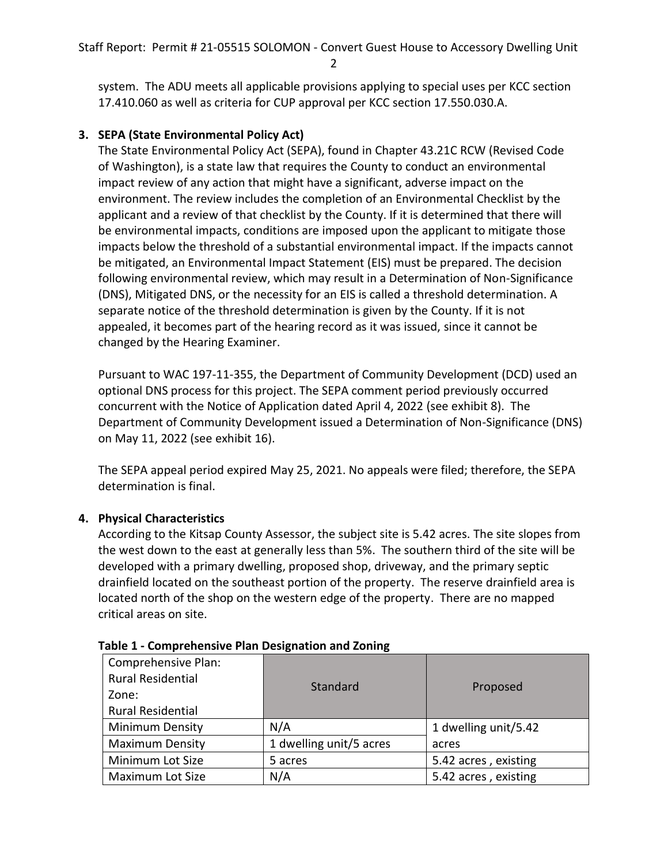system. The ADU meets all applicable provisions applying to special uses per KCC section 17.410.060 as well as criteria for CUP approval per KCC section 17.550.030.A.

## **3. SEPA (State Environmental Policy Act)**

The State Environmental Policy Act (SEPA), found in Chapter 43.21C RCW (Revised Code of Washington), is a state law that requires the County to conduct an environmental impact review of any action that might have a significant, adverse impact on the environment. The review includes the completion of an Environmental Checklist by the applicant and a review of that checklist by the County. If it is determined that there will be environmental impacts, conditions are imposed upon the applicant to mitigate those impacts below the threshold of a substantial environmental impact. If the impacts cannot be mitigated, an Environmental Impact Statement (EIS) must be prepared. The decision following environmental review, which may result in a Determination of Non-Significance (DNS), Mitigated DNS, or the necessity for an EIS is called a threshold determination. A separate notice of the threshold determination is given by the County. If it is not appealed, it becomes part of the hearing record as it was issued, since it cannot be changed by the Hearing Examiner.

Pursuant to WAC 197-11-355, the Department of Community Development (DCD) used an optional DNS process for this project. The SEPA comment period previously occurred concurrent with the Notice of Application dated April 4, 2022 (see exhibit 8). The Department of Community Development issued a Determination of Non-Significance (DNS) on May 11, 2022 (see exhibit 16).

The SEPA appeal period expired May 25, 2021. No appeals were filed; therefore, the SEPA determination is final.

## **4. Physical Characteristics**

According to the Kitsap County Assessor, the subject site is 5.42 acres. The site slopes from the west down to the east at generally less than 5%. The southern third of the site will be developed with a primary dwelling, proposed shop, driveway, and the primary septic drainfield located on the southeast portion of the property. The reserve drainfield area is located north of the shop on the western edge of the property. There are no mapped critical areas on site.

| Comprehensive Plan:<br><b>Rural Residential</b><br>Zone:<br><b>Rural Residential</b> | Standard                | Proposed             |  |
|--------------------------------------------------------------------------------------|-------------------------|----------------------|--|
| <b>Minimum Density</b>                                                               | N/A                     | 1 dwelling unit/5.42 |  |
| <b>Maximum Density</b>                                                               | 1 dwelling unit/5 acres | acres                |  |
| Minimum Lot Size                                                                     | 5 acres                 | 5.42 acres, existing |  |
| Maximum Lot Size                                                                     | N/A                     | 5.42 acres, existing |  |

| Table 1 - Comprehensive Plan Designation and Zoning |  |
|-----------------------------------------------------|--|
|-----------------------------------------------------|--|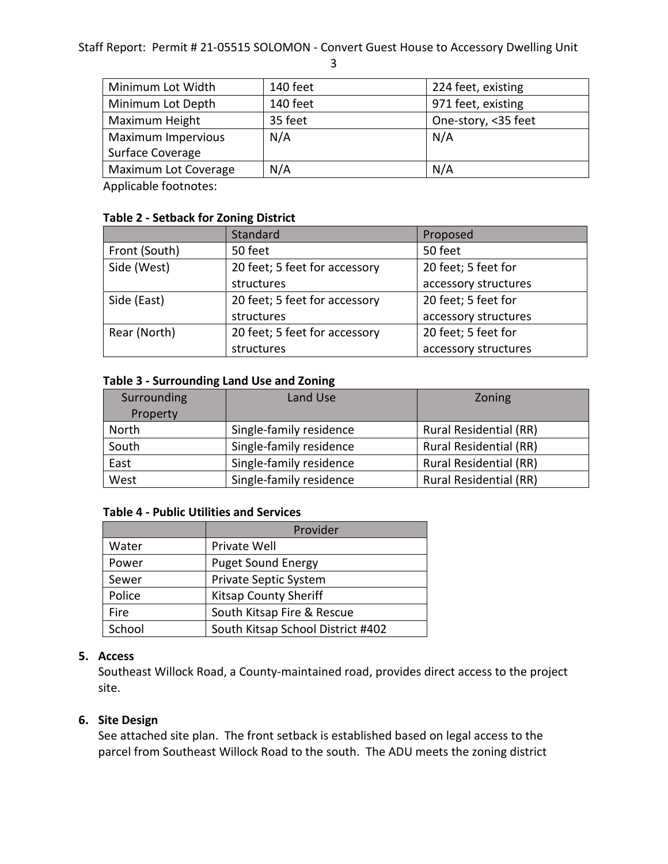3

| Minimum Lot Width    | 140 feet | 224 feet, existing  |  |
|----------------------|----------|---------------------|--|
| Minimum Lot Depth    | 140 feet | 971 feet, existing  |  |
| Maximum Height       | 35 feet  | One-story, <35 feet |  |
| Maximum Impervious   | N/A      | N/A                 |  |
| Surface Coverage     |          |                     |  |
| Maximum Lot Coverage | N/A      | N/A                 |  |

Applicable footnotes:

|               | Standard                                             | Proposed             |
|---------------|------------------------------------------------------|----------------------|
| Front (South) | 50 feet                                              | 50 feet              |
| Side (West)   | 20 feet; 5 feet for<br>20 feet; 5 feet for accessory |                      |
|               | structures                                           | accessory structures |
| Side (East)   | 20 feet; 5 feet for accessory                        | 20 feet; 5 feet for  |
|               | structures                                           | accessory structures |
| Rear (North)  | 20 feet; 5 feet for accessory                        | 20 feet; 5 feet for  |
|               | structures                                           | accessory structures |

## **Table 3 - Surrounding Land Use and Zoning**

| Surrounding | Land Use                | Zoning                        |
|-------------|-------------------------|-------------------------------|
| Property    |                         |                               |
| North       | Single-family residence | <b>Rural Residential (RR)</b> |
| South       | Single-family residence | <b>Rural Residential (RR)</b> |
| East        | Single-family residence | <b>Rural Residential (RR)</b> |
| West        | Single-family residence | <b>Rural Residential (RR)</b> |

## **Table 4 - Public Utilities and Services**

|        | Provider                          |  |
|--------|-----------------------------------|--|
| Water  | Private Well                      |  |
| Power  | <b>Puget Sound Energy</b>         |  |
| Sewer  | Private Septic System             |  |
| Police | <b>Kitsap County Sheriff</b>      |  |
| Fire   | South Kitsap Fire & Rescue        |  |
| School | South Kitsap School District #402 |  |

## **5. Access**

Southeast Willock Road, a County-maintained road, provides direct access to the project site.

## **6. Site Design**

See attached site plan. The front setback is established based on legal access to the parcel from Southeast Willock Road to the south. The ADU meets the zoning district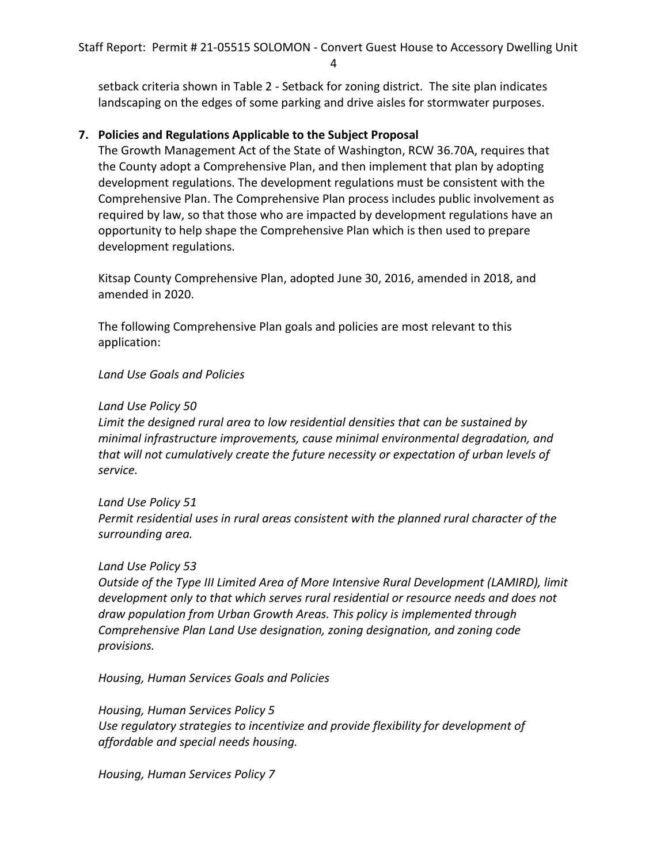setback criteria shown in Table 2 - Setback for zoning district. The site plan indicates landscaping on the edges of some parking and drive aisles for stormwater purposes.

## **7. Policies and Regulations Applicable to the Subject Proposal**

The Growth Management Act of the State of Washington, RCW 36.70A, requires that the County adopt a Comprehensive Plan, and then implement that plan by adopting development regulations. The development regulations must be consistent with the Comprehensive Plan. The Comprehensive Plan process includes public involvement as required by law, so that those who are impacted by development regulations have an opportunity to help shape the Comprehensive Plan which is then used to prepare development regulations.

Kitsap County Comprehensive Plan, adopted June 30, 2016, amended in 2018, and amended in 2020.

The following Comprehensive Plan goals and policies are most relevant to this application:

## *Land Use Goals and Policies*

#### *Land Use Policy 50*

*Limit the designed rural area to low residential densities that can be sustained by minimal infrastructure improvements, cause minimal environmental degradation, and that will not cumulatively create the future necessity or expectation of urban levels of service.* 

#### *Land Use Policy 51*

*Permit residential uses in rural areas consistent with the planned rural character of the surrounding area.* 

#### *Land Use Policy 53*

*Outside of the Type III Limited Area of More Intensive Rural Development (LAMIRD), limit development only to that which serves rural residential or resource needs and does not draw population from Urban Growth Areas. This policy is implemented through Comprehensive Plan Land Use designation, zoning designation, and zoning code provisions.* 

*Housing, Human Services Goals and Policies*

*Housing, Human Services Policy 5 Use regulatory strategies to incentivize and provide flexibility for development of affordable and special needs housing.* 

*Housing, Human Services Policy 7*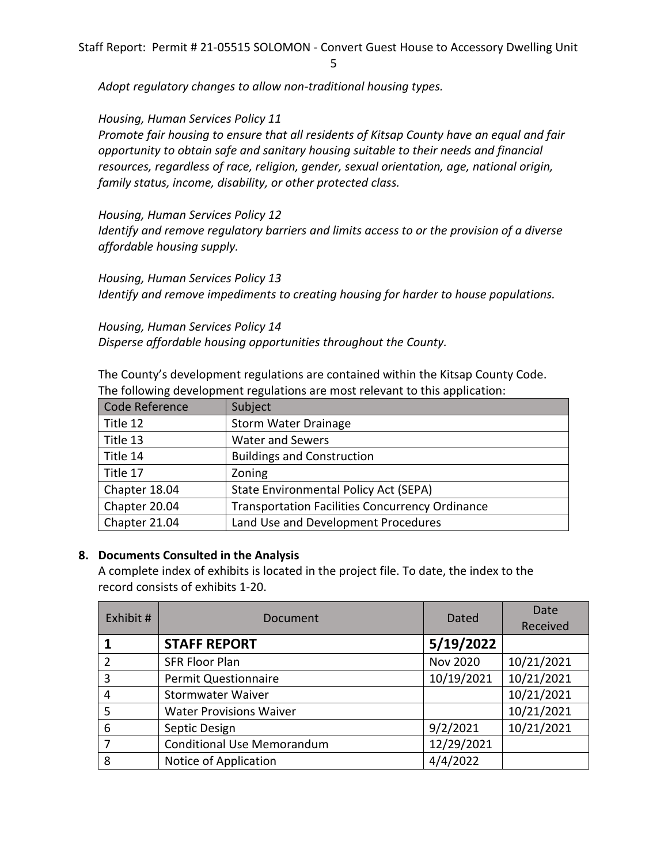5

*Adopt regulatory changes to allow non-traditional housing types.* 

*Housing, Human Services Policy 11*

*Promote fair housing to ensure that all residents of Kitsap County have an equal and fair opportunity to obtain safe and sanitary housing suitable to their needs and financial resources, regardless of race, religion, gender, sexual orientation, age, national origin, family status, income, disability, or other protected class.* 

*Housing, Human Services Policy 12 Identify and remove regulatory barriers and limits access to or the provision of a diverse affordable housing supply.* 

*Housing, Human Services Policy 13 Identify and remove impediments to creating housing for harder to house populations.*

*Housing, Human Services Policy 14 Disperse affordable housing opportunities throughout the County.*

The County's development regulations are contained within the Kitsap County Code. The following development regulations are most relevant to this application:

| Code Reference | Subject                                                |
|----------------|--------------------------------------------------------|
| Title 12       | <b>Storm Water Drainage</b>                            |
| Title 13       | Water and Sewers                                       |
| Title 14       | <b>Buildings and Construction</b>                      |
| Title 17       | Zoning                                                 |
| Chapter 18.04  | State Environmental Policy Act (SEPA)                  |
| Chapter 20.04  | <b>Transportation Facilities Concurrency Ordinance</b> |
| Chapter 21.04  | Land Use and Development Procedures                    |

## **8. Documents Consulted in the Analysis**

A complete index of exhibits is located in the project file. To date, the index to the record consists of exhibits 1-20.

| Exhibit #      | Document                          | Dated           | Date<br>Received |
|----------------|-----------------------------------|-----------------|------------------|
|                | <b>STAFF REPORT</b>               | 5/19/2022       |                  |
| $\overline{2}$ | <b>SFR Floor Plan</b>             | <b>Nov 2020</b> | 10/21/2021       |
| 3              | <b>Permit Questionnaire</b>       | 10/19/2021      | 10/21/2021       |
| 4              | <b>Stormwater Waiver</b>          |                 | 10/21/2021       |
| 5              | <b>Water Provisions Waiver</b>    |                 | 10/21/2021       |
| 6              | Septic Design                     | 9/2/2021        | 10/21/2021       |
|                | <b>Conditional Use Memorandum</b> | 12/29/2021      |                  |
| 8              | Notice of Application             | 4/4/2022        |                  |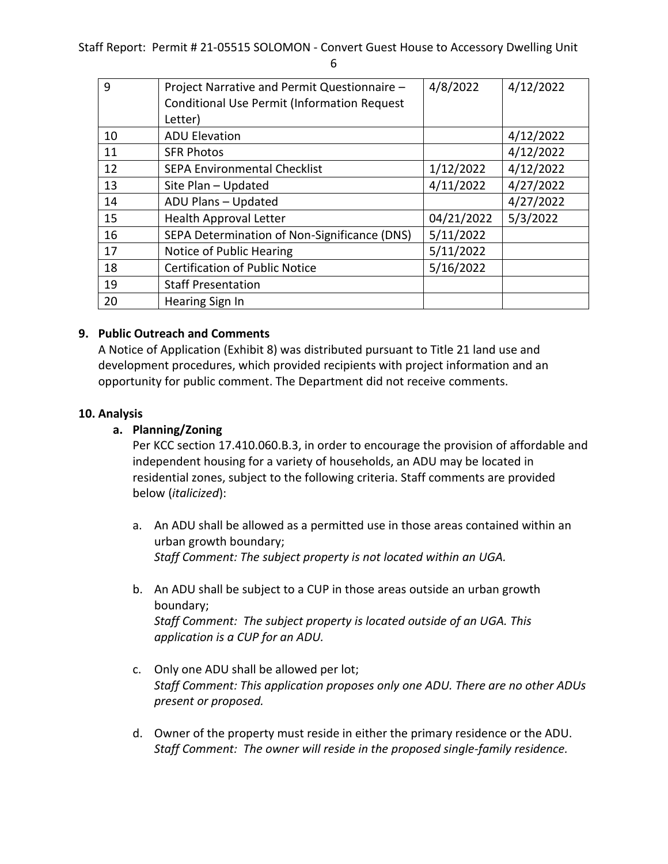| ×<br>٠           |  |
|------------------|--|
| .,               |  |
| š<br>٠<br>×<br>٩ |  |

| 9  | Project Narrative and Permit Questionnaire -<br><b>Conditional Use Permit (Information Request</b> | 4/8/2022   | 4/12/2022 |
|----|----------------------------------------------------------------------------------------------------|------------|-----------|
|    | Letter)                                                                                            |            |           |
| 10 | <b>ADU Elevation</b>                                                                               |            | 4/12/2022 |
| 11 | <b>SFR Photos</b>                                                                                  |            | 4/12/2022 |
| 12 | <b>SEPA Environmental Checklist</b>                                                                | 1/12/2022  | 4/12/2022 |
| 13 | Site Plan - Updated                                                                                | 4/11/2022  | 4/27/2022 |
| 14 | ADU Plans - Updated                                                                                |            | 4/27/2022 |
| 15 | <b>Health Approval Letter</b>                                                                      | 04/21/2022 | 5/3/2022  |
| 16 | SEPA Determination of Non-Significance (DNS)                                                       | 5/11/2022  |           |
| 17 | Notice of Public Hearing                                                                           | 5/11/2022  |           |
| 18 | <b>Certification of Public Notice</b>                                                              | 5/16/2022  |           |
| 19 | <b>Staff Presentation</b>                                                                          |            |           |
| 20 | Hearing Sign In                                                                                    |            |           |

## **9. Public Outreach and Comments**

A Notice of Application (Exhibit 8) was distributed pursuant to Title 21 land use and development procedures, which provided recipients with project information and an opportunity for public comment. The Department did not receive comments.

#### **10. Analysis**

#### **a. Planning/Zoning**

Per KCC section 17.410.060.B.3, in order to encourage the provision of affordable and independent housing for a variety of households, an ADU may be located in residential zones, subject to the following criteria. Staff comments are provided below (*italicized*):

- a. An ADU shall be allowed as a permitted use in those areas contained within an urban growth boundary; *Staff Comment: The subject property is not located within an UGA.*
- b. An ADU shall be subject to a CUP in those areas outside an urban growth boundary; *Staff Comment: The subject property is located outside of an UGA. This application is a CUP for an ADU.*
- c. Only one ADU shall be allowed per lot; *Staff Comment: This application proposes only one ADU. There are no other ADUs present or proposed.*
- d. Owner of the property must reside in either the primary residence or the ADU. *Staff Comment: The owner will reside in the proposed single-family residence.*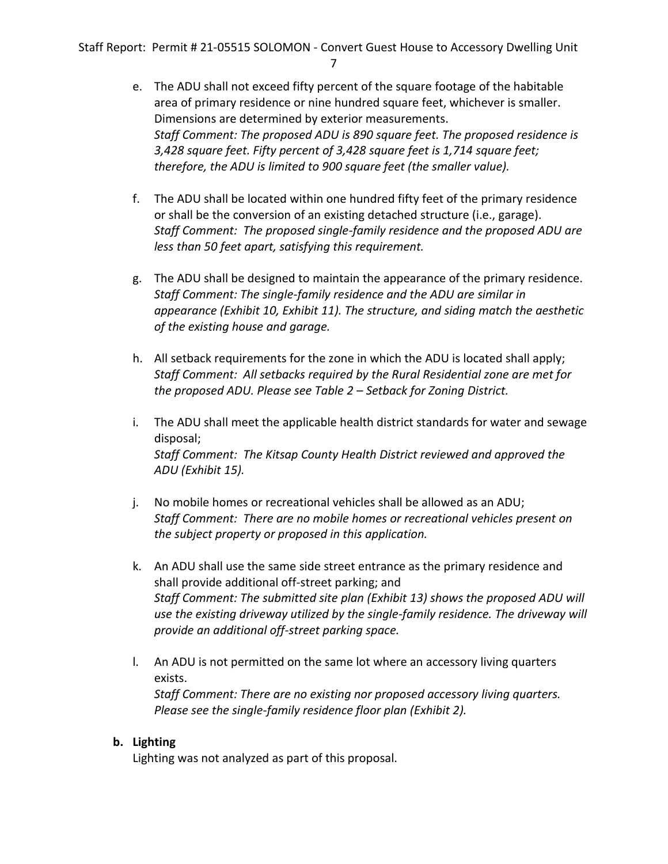- 7
- e. The ADU shall not exceed fifty percent of the square footage of the habitable area of primary residence or nine hundred square feet, whichever is smaller. Dimensions are determined by exterior measurements. *Staff Comment: The proposed ADU is 890 square feet. The proposed residence is 3,428 square feet. Fifty percent of 3,428 square feet is 1,714 square feet; therefore, the ADU is limited to 900 square feet (the smaller value).*
- f. The ADU shall be located within one hundred fifty feet of the primary residence or shall be the conversion of an existing detached structure (i.e., garage). *Staff Comment: The proposed single-family residence and the proposed ADU are less than 50 feet apart, satisfying this requirement.*
- g. The ADU shall be designed to maintain the appearance of the primary residence. *Staff Comment: The single-family residence and the ADU are similar in appearance (Exhibit 10, Exhibit 11). The structure, and siding match the aesthetic of the existing house and garage.*
- h. All setback requirements for the zone in which the ADU is located shall apply; *Staff Comment: All setbacks required by the Rural Residential zone are met for the proposed ADU. Please see Table 2 – Setback for Zoning District.*
- i. The ADU shall meet the applicable health district standards for water and sewage disposal; *Staff Comment: The Kitsap County Health District reviewed and approved the ADU (Exhibit 15).*
- j. No mobile homes or recreational vehicles shall be allowed as an ADU; *Staff Comment: There are no mobile homes or recreational vehicles present on the subject property or proposed in this application.*
- k. An ADU shall use the same side street entrance as the primary residence and shall provide additional off-street parking; and *Staff Comment: The submitted site plan (Exhibit 13) shows the proposed ADU will use the existing driveway utilized by the single-family residence. The driveway will provide an additional off-street parking space.*
- l. An ADU is not permitted on the same lot where an accessory living quarters exists. *Staff Comment: There are no existing nor proposed accessory living quarters. Please see the single-family residence floor plan (Exhibit 2).*

## **b. Lighting**

Lighting was not analyzed as part of this proposal.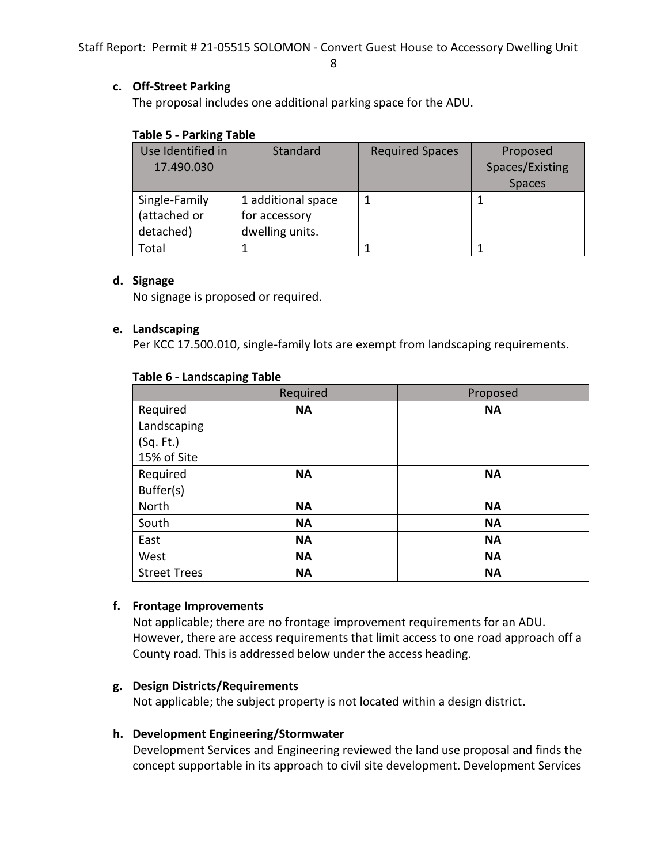8

#### **c. Off-Street Parking**

The proposal includes one additional parking space for the ADU.

#### **Table 5 - Parking Table**

| Use Identified in | Standard           | <b>Required Spaces</b> | Proposed        |
|-------------------|--------------------|------------------------|-----------------|
| 17.490.030        |                    |                        | Spaces/Existing |
|                   |                    |                        | Spaces          |
| Single-Family     | 1 additional space |                        |                 |
| (attached or      | for accessory      |                        |                 |
| detached)         | dwelling units.    |                        |                 |
| Total             |                    |                        |                 |

#### **d. Signage**

No signage is proposed or required.

#### **e. Landscaping**

Per KCC 17.500.010, single-family lots are exempt from landscaping requirements.

|                     | Required  | Proposed  |
|---------------------|-----------|-----------|
| Required            | <b>NA</b> | <b>NA</b> |
| Landscaping         |           |           |
| (Sq. Ft.)           |           |           |
| 15% of Site         |           |           |
| Required            | <b>NA</b> | <b>NA</b> |
| Buffer(s)           |           |           |
| North               | <b>NA</b> | <b>NA</b> |
| South               | <b>NA</b> | <b>NA</b> |
| East                | <b>NA</b> | <b>NA</b> |
| West                | <b>NA</b> | <b>NA</b> |
| <b>Street Trees</b> | <b>NA</b> | <b>NA</b> |

#### **Table 6 - Landscaping Table**

#### **f. Frontage Improvements**

Not applicable; there are no frontage improvement requirements for an ADU. However, there are access requirements that limit access to one road approach off a County road. This is addressed below under the access heading.

#### **g. Design Districts/Requirements**

Not applicable; the subject property is not located within a design district.

#### **h. Development Engineering/Stormwater**

Development Services and Engineering reviewed the land use proposal and finds the concept supportable in its approach to civil site development. Development Services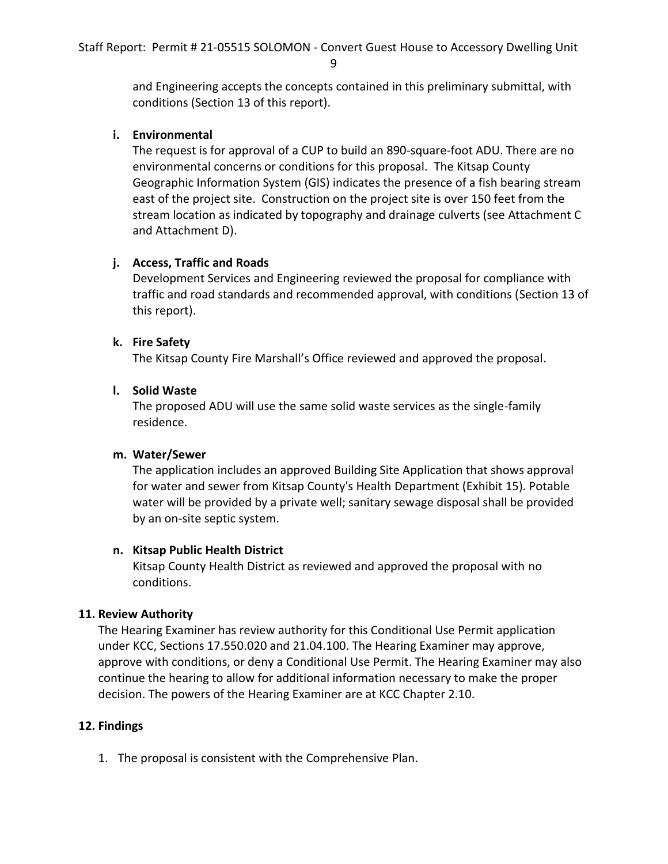and Engineering accepts the concepts contained in this preliminary submittal, with conditions (Section 13 of this report).

## **i. Environmental**

The request is for approval of a CUP to build an 890-square-foot ADU. There are no environmental concerns or conditions for this proposal. The Kitsap County Geographic Information System (GIS) indicates the presence of a fish bearing stream east of the project site. Construction on the project site is over 150 feet from the stream location as indicated by topography and drainage culverts (see Attachment C and Attachment D).

## **j. Access, Traffic and Roads**

Development Services and Engineering reviewed the proposal for compliance with traffic and road standards and recommended approval, with conditions (Section 13 of this report).

## **k. Fire Safety**

The Kitsap County Fire Marshall's Office reviewed and approved the proposal.

## **l. Solid Waste**

The proposed ADU will use the same solid waste services as the single-family residence.

#### **m. Water/Sewer**

The application includes an approved Building Site Application that shows approval for water and sewer from Kitsap County's Health Department (Exhibit 15). Potable water will be provided by a private well; sanitary sewage disposal shall be provided by an on-site septic system.

#### **n. Kitsap Public Health District**

Kitsap County Health District as reviewed and approved the proposal with no conditions.

#### **11. Review Authority**

The Hearing Examiner has review authority for this Conditional Use Permit application under KCC, Sections 17.550.020 and 21.04.100. The Hearing Examiner may approve, approve with conditions, or deny a Conditional Use Permit. The Hearing Examiner may also continue the hearing to allow for additional information necessary to make the proper decision. The powers of the Hearing Examiner are at KCC Chapter 2.10.

## **12. Findings**

1. The proposal is consistent with the Comprehensive Plan.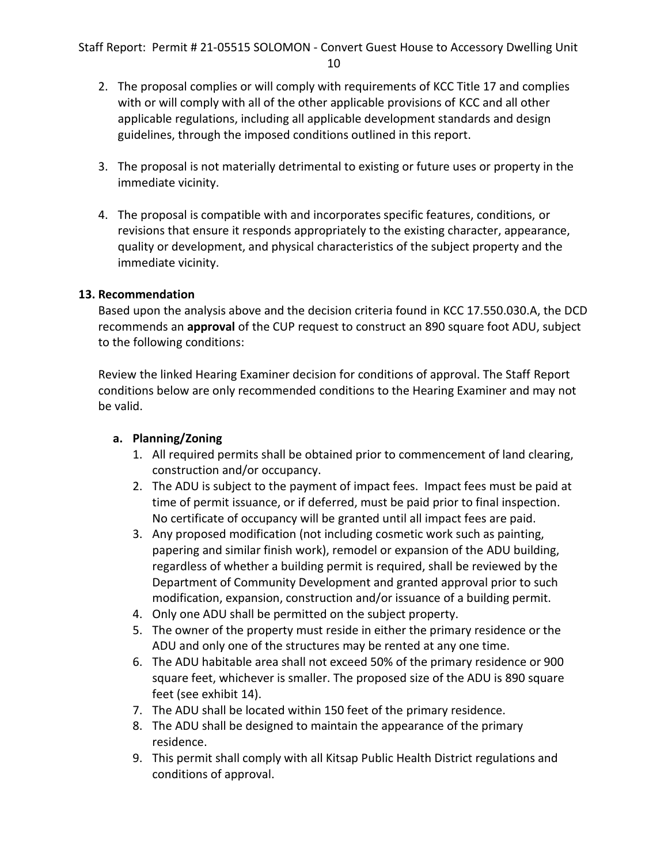- 2. The proposal complies or will comply with requirements of KCC Title 17 and complies with or will comply with all of the other applicable provisions of KCC and all other applicable regulations, including all applicable development standards and design guidelines, through the imposed conditions outlined in this report.
- 3. The proposal is not materially detrimental to existing or future uses or property in the immediate vicinity.
- 4. The proposal is compatible with and incorporates specific features, conditions, or revisions that ensure it responds appropriately to the existing character, appearance, quality or development, and physical characteristics of the subject property and the immediate vicinity.

#### **13. Recommendation**

Based upon the analysis above and the decision criteria found in KCC 17.550.030.A, the DCD recommends an **approval** of the CUP request to construct an 890 square foot ADU, subject to the following conditions:

Review the linked Hearing Examiner decision for conditions of approval. The Staff Report conditions below are only recommended conditions to the Hearing Examiner and may not be valid.

## **a. Planning/Zoning**

- 1. All required permits shall be obtained prior to commencement of land clearing, construction and/or occupancy.
- 2. The ADU is subject to the payment of impact fees. Impact fees must be paid at time of permit issuance, or if deferred, must be paid prior to final inspection. No certificate of occupancy will be granted until all impact fees are paid.
- 3. Any proposed modification (not including cosmetic work such as painting, papering and similar finish work), remodel or expansion of the ADU building, regardless of whether a building permit is required, shall be reviewed by the Department of Community Development and granted approval prior to such modification, expansion, construction and/or issuance of a building permit.
- 4. Only one ADU shall be permitted on the subject property.
- 5. The owner of the property must reside in either the primary residence or the ADU and only one of the structures may be rented at any one time.
- 6. The ADU habitable area shall not exceed 50% of the primary residence or 900 square feet, whichever is smaller. The proposed size of the ADU is 890 square feet (see exhibit 14).
- 7. The ADU shall be located within 150 feet of the primary residence.
- 8. The ADU shall be designed to maintain the appearance of the primary residence.
- 9. This permit shall comply with all Kitsap Public Health District regulations and conditions of approval.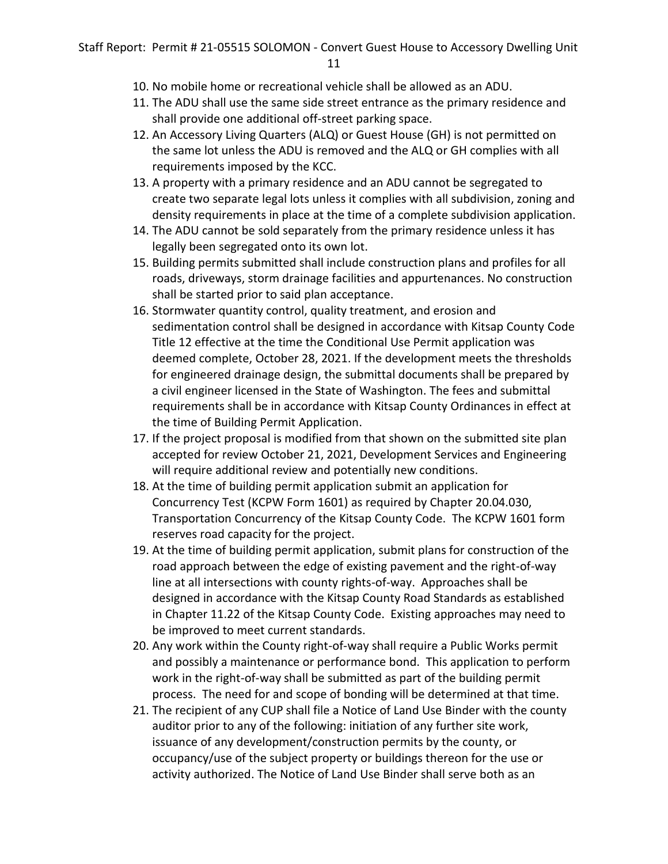- 10. No mobile home or recreational vehicle shall be allowed as an ADU.
- 11. The ADU shall use the same side street entrance as the primary residence and shall provide one additional off-street parking space.
- 12. An Accessory Living Quarters (ALQ) or Guest House (GH) is not permitted on the same lot unless the ADU is removed and the ALQ or GH complies with all requirements imposed by the KCC.
- 13. A property with a primary residence and an ADU cannot be segregated to create two separate legal lots unless it complies with all subdivision, zoning and density requirements in place at the time of a complete subdivision application.
- 14. The ADU cannot be sold separately from the primary residence unless it has legally been segregated onto its own lot.
- 15. Building permits submitted shall include construction plans and profiles for all roads, driveways, storm drainage facilities and appurtenances. No construction shall be started prior to said plan acceptance.
- 16. Stormwater quantity control, quality treatment, and erosion and sedimentation control shall be designed in accordance with Kitsap County Code Title 12 effective at the time the Conditional Use Permit application was deemed complete, October 28, 2021. If the development meets the thresholds for engineered drainage design, the submittal documents shall be prepared by a civil engineer licensed in the State of Washington. The fees and submittal requirements shall be in accordance with Kitsap County Ordinances in effect at the time of Building Permit Application.
- 17. If the project proposal is modified from that shown on the submitted site plan accepted for review October 21, 2021, Development Services and Engineering will require additional review and potentially new conditions.
- 18. At the time of building permit application submit an application for Concurrency Test (KCPW Form 1601) as required by Chapter 20.04.030, Transportation Concurrency of the Kitsap County Code. The KCPW 1601 form reserves road capacity for the project.
- 19. At the time of building permit application, submit plans for construction of the road approach between the edge of existing pavement and the right-of-way line at all intersections with county rights-of-way. Approaches shall be designed in accordance with the Kitsap County Road Standards as established in Chapter 11.22 of the Kitsap County Code. Existing approaches may need to be improved to meet current standards.
- 20. Any work within the County right-of-way shall require a Public Works permit and possibly a maintenance or performance bond. This application to perform work in the right-of-way shall be submitted as part of the building permit process. The need for and scope of bonding will be determined at that time.
- 21. The recipient of any CUP shall file a Notice of Land Use Binder with the county auditor prior to any of the following: initiation of any further site work, issuance of any development/construction permits by the county, or occupancy/use of the subject property or buildings thereon for the use or activity authorized. The Notice of Land Use Binder shall serve both as an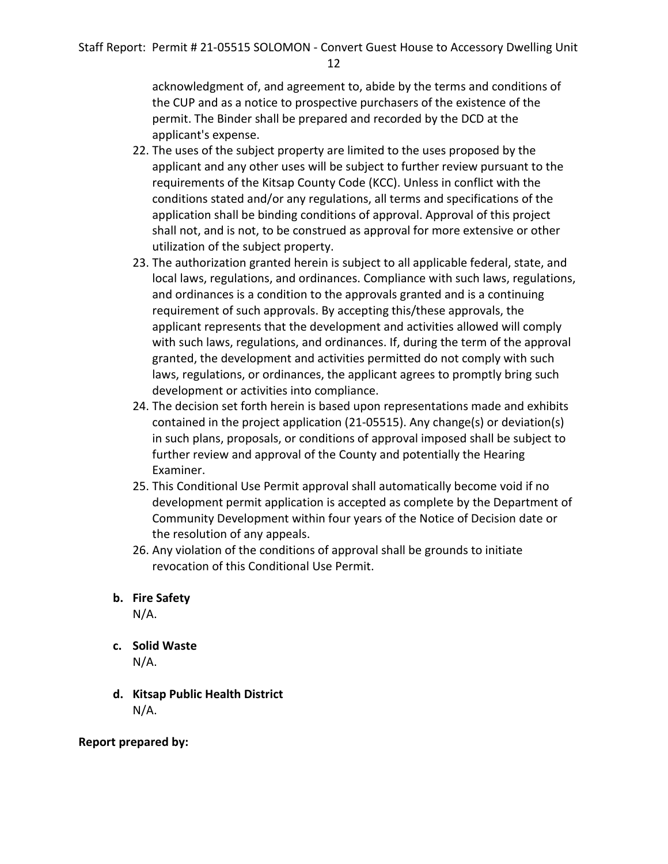acknowledgment of, and agreement to, abide by the terms and conditions of the CUP and as a notice to prospective purchasers of the existence of the permit. The Binder shall be prepared and recorded by the DCD at the applicant's expense.

- 22. The uses of the subject property are limited to the uses proposed by the applicant and any other uses will be subject to further review pursuant to the requirements of the Kitsap County Code (KCC). Unless in conflict with the conditions stated and/or any regulations, all terms and specifications of the application shall be binding conditions of approval. Approval of this project shall not, and is not, to be construed as approval for more extensive or other utilization of the subject property.
- 23. The authorization granted herein is subject to all applicable federal, state, and local laws, regulations, and ordinances. Compliance with such laws, regulations, and ordinances is a condition to the approvals granted and is a continuing requirement of such approvals. By accepting this/these approvals, the applicant represents that the development and activities allowed will comply with such laws, regulations, and ordinances. If, during the term of the approval granted, the development and activities permitted do not comply with such laws, regulations, or ordinances, the applicant agrees to promptly bring such development or activities into compliance.
- 24. The decision set forth herein is based upon representations made and exhibits contained in the project application (21-05515). Any change(s) or deviation(s) in such plans, proposals, or conditions of approval imposed shall be subject to further review and approval of the County and potentially the Hearing Examiner.
- 25. This Conditional Use Permit approval shall automatically become void if no development permit application is accepted as complete by the Department of Community Development within four years of the Notice of Decision date or the resolution of any appeals.
- 26. Any violation of the conditions of approval shall be grounds to initiate revocation of this Conditional Use Permit.

## **b. Fire Safety**

N/A.

- **c. Solid Waste** N/A.
- **d. Kitsap Public Health District**  N/A.

**Report prepared by:**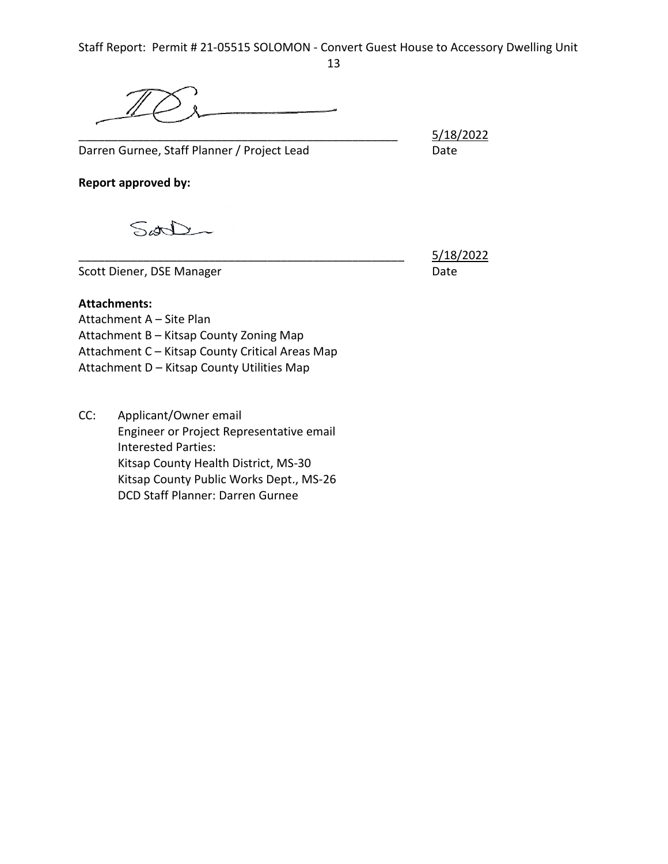Darren Gurnee, Staff Planner / Project Lead Date

\_\_\_\_\_\_\_\_\_\_\_\_\_\_\_\_\_\_\_\_\_\_\_\_\_\_\_\_\_\_\_\_\_\_\_\_\_\_\_\_\_\_\_\_\_\_\_\_\_ 5/18/2022

**Report approved by:**

Sort

Scott Diener, DSE Manager Date

\_\_\_\_\_\_\_\_\_\_\_\_\_\_\_\_\_\_\_\_\_\_\_\_\_\_\_\_\_\_\_\_\_\_\_\_\_\_\_\_\_\_\_\_\_\_\_\_\_\_ 5/18/2022

## **Attachments:**

Attachment A – Site Plan Attachment B – Kitsap County Zoning Map Attachment C – Kitsap County Critical Areas Map Attachment D – Kitsap County Utilities Map

CC: Applicant/Owner email Engineer or Project Representative email Interested Parties: Kitsap County Health District, MS-30 Kitsap County Public Works Dept., MS-26 DCD Staff Planner: Darren Gurnee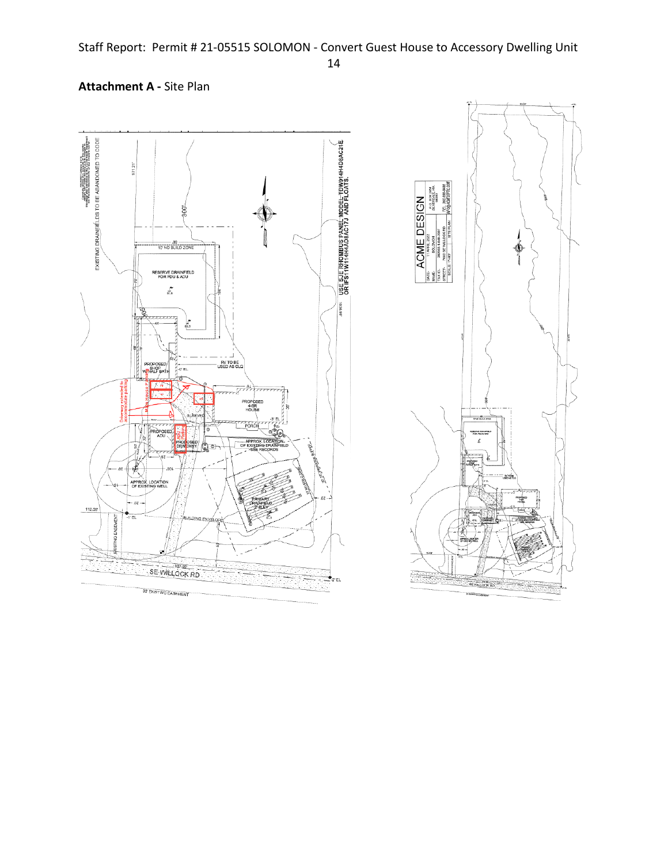## EXISTING DRAINFIÉLDS TO BE ABANDONED TO CODE USE SJE RHOMBUS PANEL MODEL TDW914H4D8AC21E<br>OR IFS11W114H4AD8AC17J AND FLOATS.  $\begin{array}{ll} & \texttt{PSD}(\texttt{PSDT}) \subseteq \texttt{O(AAEB, WOTE)} \texttt{=} & \texttt{supp} \\ & \texttt{supp}(\mathbf{A}, \mathbf{A}, \mathbf{A}, \mathbf{A}, \mathbf{A}, \mathbf{A}, \mathbf{A}, \mathbf{A}, \mathbf{A}, \mathbf{A}, \mathbf{A}, \mathbf{A}, \mathbf{A}, \mathbf{A}, \mathbf{A}, \mathbf{A}, \mathbf{A}, \mathbf{A}, \mathbf{A}, \mathbf{A}, \mathbf{A}, \mathbf{A}, \mathbf{A}, \mathbf{A}, \mathbf{A}, \mathbf{A}, \mathbf$  $371.21$ P.O. BOX 2954<br>SILVERDALE, NA ACME DESIGN pes. Ф RESERVE DRAINFIELD<br>FOR PDU & ADU  $\int\limits_{0.6}^{\infty}$ 1036.99 £ RV TO BE<br>USED AS CLQ PROPOSED J-0' EL ROPOSE £ OF EXI 财 i.  $m$ € APPROX<br>OF EXIST manda<br>148  $50.$ 112.08 SE WILLOCK RD  $2'$  EL **SE VILLOCK**  $\frac{1}{2}$ 30' EXISTING EASEMENT

## **Attachment A -** Site Plan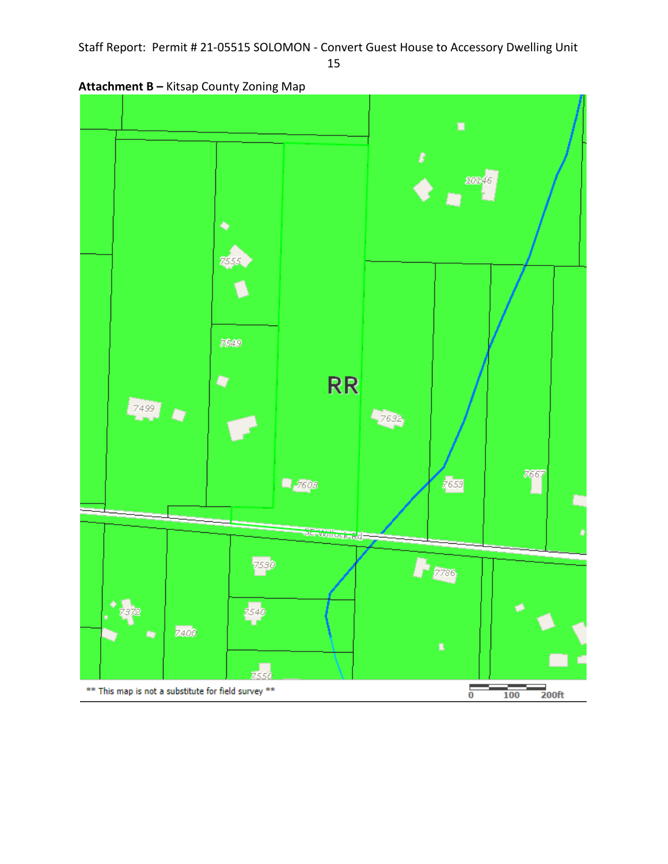15

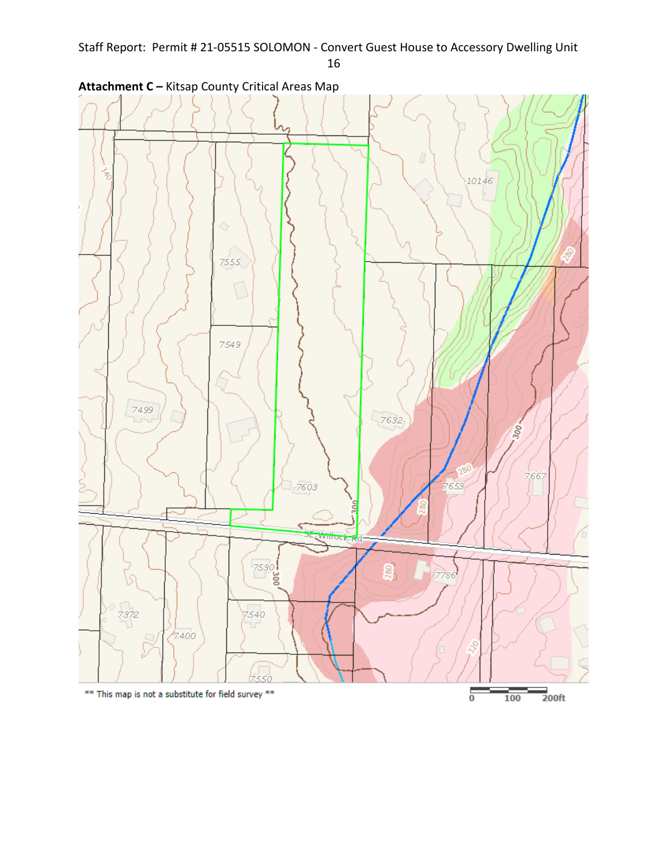